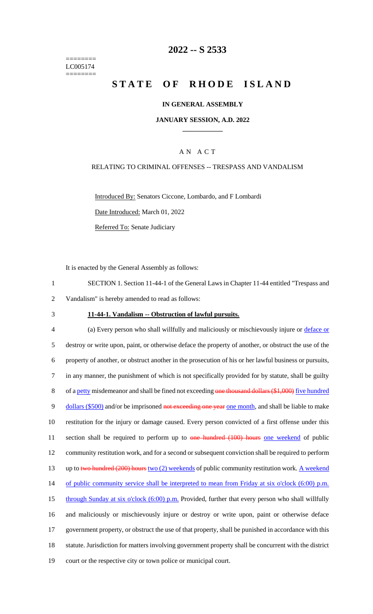======== LC005174 ========

## **2022 -- S 2533**

# **STATE OF RHODE ISLAND**

#### **IN GENERAL ASSEMBLY**

#### **JANUARY SESSION, A.D. 2022 \_\_\_\_\_\_\_\_\_\_\_\_**

### A N A C T

#### RELATING TO CRIMINAL OFFENSES -- TRESPASS AND VANDALISM

Introduced By: Senators Ciccone, Lombardo, and F Lombardi Date Introduced: March 01, 2022 Referred To: Senate Judiciary

It is enacted by the General Assembly as follows:

- 1 SECTION 1. Section 11-44-1 of the General Laws in Chapter 11-44 entitled "Trespass and 2 Vandalism" is hereby amended to read as follows:
- 

#### 3 **11-44-1. Vandalism -- Obstruction of lawful pursuits.**

 (a) Every person who shall willfully and maliciously or mischievously injure or deface or destroy or write upon, paint, or otherwise deface the property of another, or obstruct the use of the property of another, or obstruct another in the prosecution of his or her lawful business or pursuits, in any manner, the punishment of which is not specifically provided for by statute, shall be guilty 8 of a petty misdemeanor and shall be fined not exceeding one thousand dollars (\$1,000) five hundred 9 dollars (\$500) and/or be imprisoned not exceeding one year one month, and shall be liable to make restitution for the injury or damage caused. Every person convicted of a first offense under this 11 section shall be required to perform up to one hundred (100) hours one weekend of public community restitution work, and for a second or subsequent conviction shall be required to perform 13 up to two hundred (200) hours two (2) weekends of public community restitution work. A weekend 14 of public community service shall be interpreted to mean from Friday at six o'clock (6:00) p.m. 15 through Sunday at six o'clock (6:00) p.m. Provided, further that every person who shall willfully and maliciously or mischievously injure or destroy or write upon, paint or otherwise deface government property, or obstruct the use of that property, shall be punished in accordance with this statute. Jurisdiction for matters involving government property shall be concurrent with the district court or the respective city or town police or municipal court.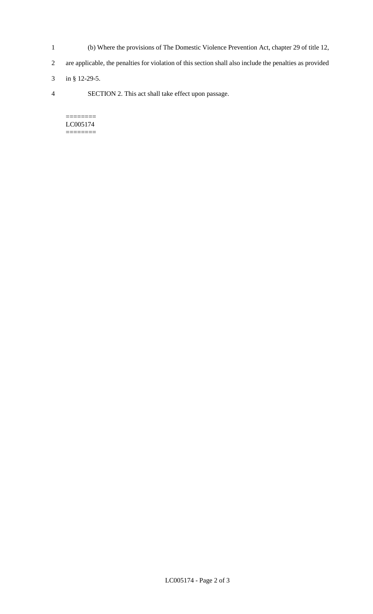- 1 (b) Where the provisions of The Domestic Violence Prevention Act, chapter 29 of title 12,
- 2 are applicable, the penalties for violation of this section shall also include the penalties as provided
- 3 in § 12-29-5.
- 4 SECTION 2. This act shall take effect upon passage.

======== LC005174 ========